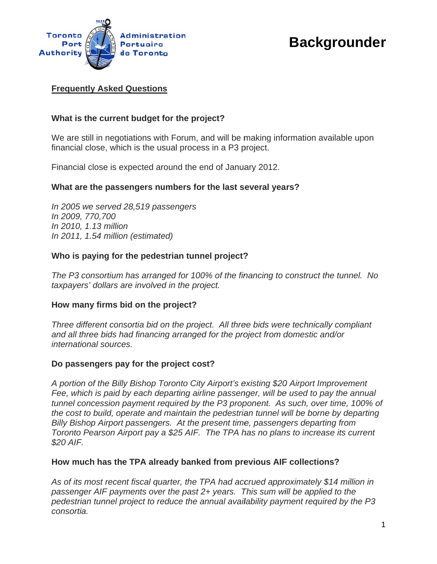

# **Backgrounder**

# **Frequently Asked Questions**

# What is the current budget for the project?

We are still in negotiations with Forum, and will be making information available upon financial close, which is the usual process in a P3 project.

Financial close is expected around the end of January 2012.

## What are the passengers numbers for the last several years?

In 2005 we served 28,519 passengers In 2009, 770, 700 In 2010, 1.13 million In 2011, 1.54 million (estimated)

# Who is paying for the pedestrian tunnel project?

The P3 consortium has arranged for 100% of the financing to construct the tunnel. No taxpayers' dollars are involved in the project.

## How many firms bid on the project?

Three different consortia bid on the project. All three bids were technically compliant and all three bids had financing arranged for the project from domestic and/or international sources.

## Do passengers pay for the project cost?

A portion of the Billy Bishop Toronto City Airport's existing \$20 Airport Improvement Fee, which is paid by each departing airline passenger, will be used to pay the annual tunnel concession payment required by the P3 proponent. As such, over time, 100% of the cost to build, operate and maintain the pedestrian tunnel will be borne by departing Billy Bishop Airport passengers. At the present time, passengers departing from Toronto Pearson Airport pay a \$25 AIF. The TPA has no plans to increase its current \$20 AIF.

## How much has the TPA already banked from previous AIF collections?

As of its most recent fiscal quarter, the TPA had accrued approximately \$14 million in passenger AIF payments over the past 2+ years. This sum will be applied to the pedestrian tunnel project to reduce the annual availability payment required by the P3 consortia.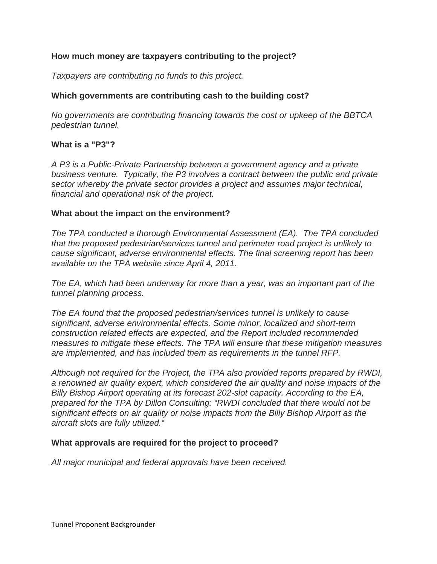# **How much money are taxpayers contributing to the project?**

*Taxpayers are contributing no funds to this project.* 

# **Which governments are contributing cash to the building cost?**

*No governments are contributing financing towards the cost or upkeep of the BBTCA pedestrian tunnel.* 

# **What is a "P3"?**

*A P3 is a Public-Private Partnership between a government agency and a private business venture. Typically, the P3 involves a contract between the public and private sector whereby the private sector provides a project and assumes major technical, financial and operational risk of the project.* 

## **What about the impact on the environment?**

*The TPA conducted a thorough Environmental Assessment (EA). The TPA concluded that the proposed pedestrian/services tunnel and perimeter road project is unlikely to cause significant, adverse environmental effects. The final screening report has been available on the TPA website since April 4, 2011.* 

*The EA, which had been underway for more than a year, was an important part of the tunnel planning process.* 

*The EA found that the proposed pedestrian/services tunnel is unlikely to cause significant, adverse environmental effects. Some minor, localized and short-term construction related effects are expected, and the Report included recommended measures to mitigate these effects. The TPA will ensure that these mitigation measures are implemented, and has included them as requirements in the tunnel RFP.* 

*Although not required for the Project, the TPA also provided reports prepared by RWDI, a renowned air quality expert, which considered the air quality and noise impacts of the Billy Bishop Airport operating at its forecast 202-slot capacity. According to the EA, prepared for the TPA by Dillon Consulting: "RWDI concluded that there would not be significant effects on air quality or noise impacts from the Billy Bishop Airport as the aircraft slots are fully utilized."* 

## **What approvals are required for the project to proceed?**

*All major municipal and federal approvals have been received.*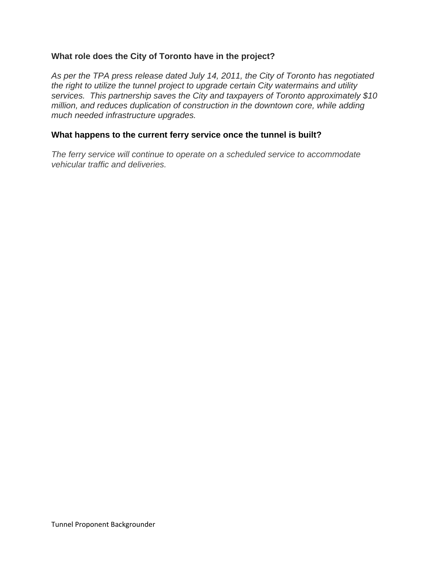# **What role does the City of Toronto have in the project?**

*As per the TPA press release dated July 14, 2011, the City of Toronto has negotiated the right to utilize the tunnel project to upgrade certain City watermains and utility services. This partnership saves the City and taxpayers of Toronto approximately \$10 million, and reduces duplication of construction in the downtown core, while adding much needed infrastructure upgrades.* 

# **What happens to the current ferry service once the tunnel is built?**

*The ferry service will continue to operate on a scheduled service to accommodate vehicular traffic and deliveries.*